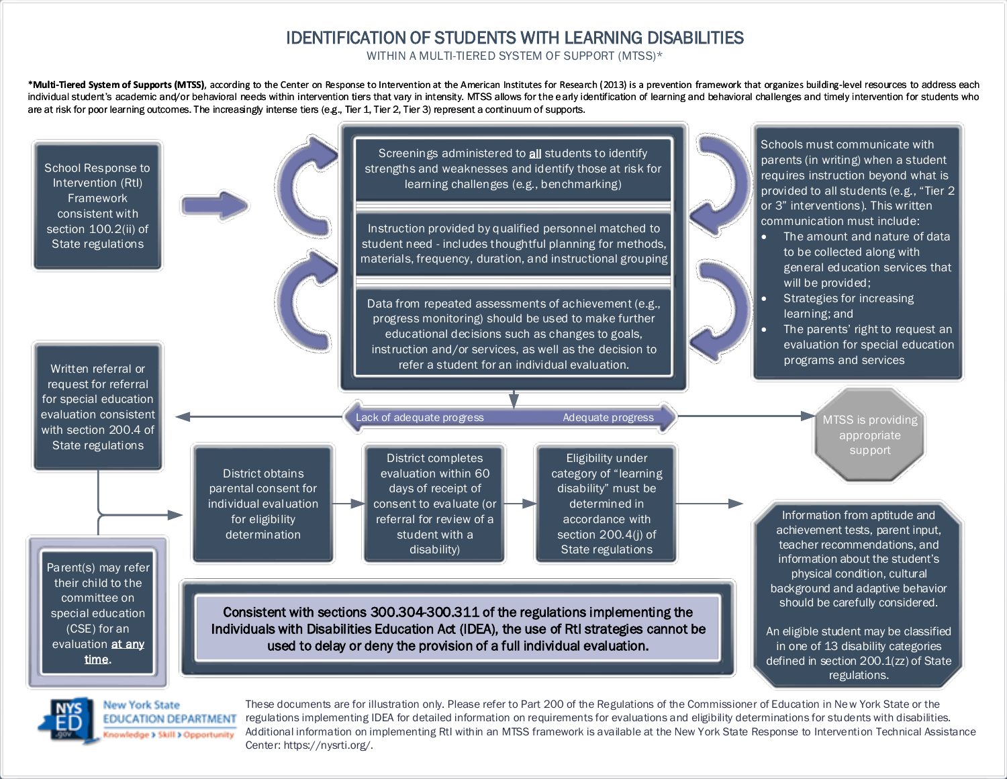## IDENTIFICATION OF STUDENTS WITH LEARNING DISABILITIES

WITHIN A MULTI-TIERED SYSTEM OF SUPPORT (MTSS)\*

\*Multi-Tiered System of Supports (MTSS), according to the Center on Response to Intervention at the American Institutes for Research (2013) is a prevention framework that organizes building-level resources to address each individual student's academic and/or behavioral needs within intervention tiers that vary in intensity. MTSS allows for the early identification of learning and behavioral challenges and timely intervention for students wh [are at risk for poor learning outcomes. The increasingly intense tiers \(e.g., Tier 1, Tier 2, Tier 3\) represent a continuum of supports.](https://rti4success.org/sites/default/files/CenterOnRTIGlossary.pdf)





**New York State EDUCATION DEPARTMENT** sowledge > Skill > Opportunity

These documents are for illustration only. Please refer to Part 200 of the Regulations of the Commissioner of Education in New York State or the regulations implementing IDEA for detailed information on requirements for evaluations and eligibility determinations for students with disabilities. Additional information on implementing RtI within an MTSS framework is available at the New York State Response to Intervention Technical Assistance Center: https://nysrti.org/.